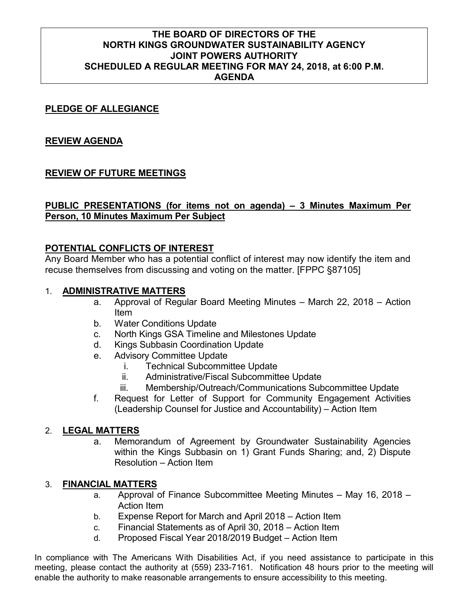## **THE BOARD OF DIRECTORS OF THE NORTH KINGS GROUNDWATER SUSTAINABILITY AGENCY JOINT POWERS AUTHORITY SCHEDULED A REGULAR MEETING FOR MAY 24, 2018, at 6:00 P.M. AGENDA**

## **PLEDGE OF ALLEGIANCE**

## **REVIEW AGENDA**

## **REVIEW OF FUTURE MEETINGS**

## **PUBLIC PRESENTATIONS (for items not on agenda) – 3 Minutes Maximum Per Person, 10 Minutes Maximum Per Subject**

## **POTENTIAL CONFLICTS OF INTEREST**

Any Board Member who has a potential conflict of interest may now identify the item and recuse themselves from discussing and voting on the matter. [FPPC §87105]

#### 1. **ADMINISTRATIVE MATTERS**

- a. Approval of Regular Board Meeting Minutes March 22, 2018 Action Item
- b. Water Conditions Update
- c. North Kings GSA Timeline and Milestones Update
- d. Kings Subbasin Coordination Update
- e. Advisory Committee Update
	- i. Technical Subcommittee Update
	- ii. Administrative/Fiscal Subcommittee Update
	- iii. Membership/Outreach/Communications Subcommittee Update
- f. Request for Letter of Support for Community Engagement Activities (Leadership Counsel for Justice and Accountability) – Action Item

## 2. **LEGAL MATTERS**

a. Memorandum of Agreement by Groundwater Sustainability Agencies within the Kings Subbasin on 1) Grant Funds Sharing; and, 2) Dispute Resolution – Action Item

## 3. **FINANCIAL MATTERS**

- a. Approval of Finance Subcommittee Meeting Minutes May 16, 2018 Action Item
- b. Expense Report for March and April 2018 Action Item
- c. Financial Statements as of April 30, 2018 Action Item
- d. Proposed Fiscal Year 2018/2019 Budget Action Item

In compliance with The Americans With Disabilities Act, if you need assistance to participate in this meeting, please contact the authority at (559) 233-7161. Notification 48 hours prior to the meeting will enable the authority to make reasonable arrangements to ensure accessibility to this meeting.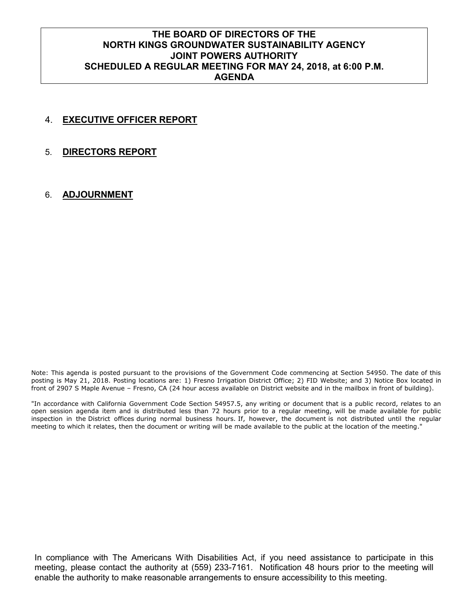## **THE BOARD OF DIRECTORS OF THE NORTH KINGS GROUNDWATER SUSTAINABILITY AGENCY JOINT POWERS AUTHORITY SCHEDULED A REGULAR MEETING FOR MAY 24, 2018, at 6:00 P.M. AGENDA**

## 4. **EXECUTIVE OFFICER REPORT**

#### 5. **DIRECTORS REPORT**

#### 6. **ADJOURNMENT**

Note: This agenda is posted pursuant to the provisions of the Government Code commencing at Section 54950. The date of this posting is May 21, 2018. Posting locations are: 1) Fresno Irrigation District Office; 2) FID Website; and 3) Notice Box located in front of 2907 S Maple Avenue – Fresno, CA (24 hour access available on District website and in the mailbox in front of building).

"In accordance with California Government Code Section 54957.5, any writing or document that is a public record, relates to an open session agenda item and is distributed less than 72 hours prior to a regular meeting, will be made available for public inspection in the District offices during normal business hours. If, however, the document is not distributed until the regular meeting to which it relates, then the document or writing will be made available to the public at the location of the meeting."

In compliance with The Americans With Disabilities Act, if you need assistance to participate in this meeting, please contact the authority at (559) 233-7161. Notification 48 hours prior to the meeting will enable the authority to make reasonable arrangements to ensure accessibility to this meeting.